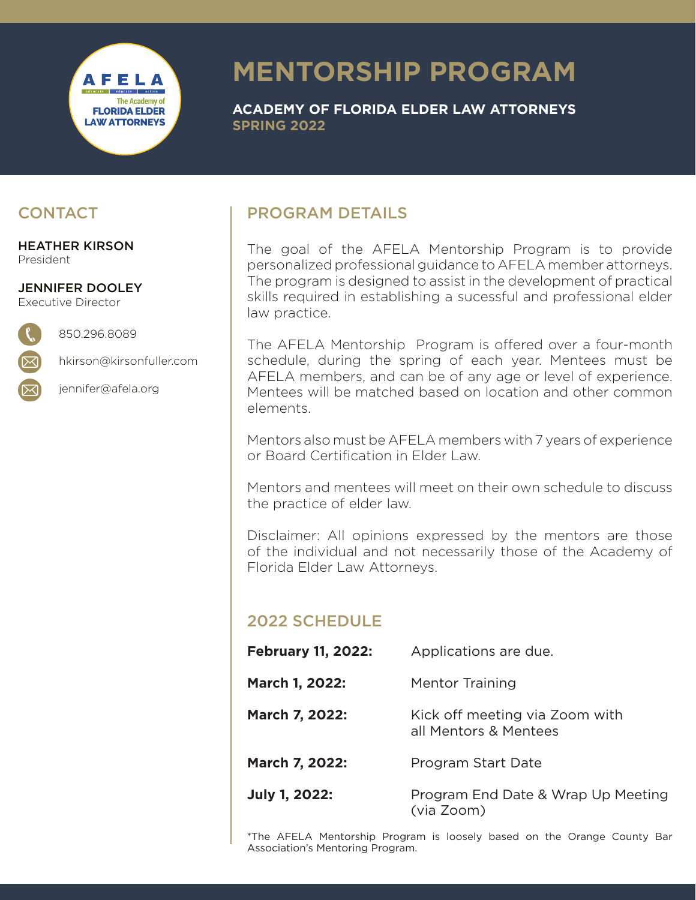## AFELA **The Academy of FLORIDA ELDER LAW ATTORNEYS**

# **MENTORSHIP PROGRAM**

**ACADEMY OF FLORIDA ELDER LAW ATTORNEYS SPRING 2022**

#### **CONTACT**

HEATHER KIRSON President

JENNIFER DOOLEY Executive Director

hkirson@kirsonfuller.com

850.296.8089

jennifer@afela.org

### PROGRAM DETAILS

The goal of the AFELA Mentorship Program is to provide personalized professional guidance to AFELA member attorneys. The program is designed to assist in the development of practical skills required in establishing a sucessful and professional elder law practice.

The AFELA Mentorship Program is offered over a four-month schedule, during the spring of each year. Mentees must be AFELA members, and can be of any age or level of experience. Mentees will be matched based on location and other common elements.

Mentors also must be AFELA members with 7 years of experience or Board Certification in Elder Law.

Mentors and mentees will meet on their own schedule to discuss the practice of elder law.

Disclaimer: All opinions expressed by the mentors are those of the individual and not necessarily those of the Academy of Florida Elder Law Attorneys.

### 2022 SCHEDULE

| <b>February 11, 2022:</b> | Applications are due.                                   |
|---------------------------|---------------------------------------------------------|
| March 1, 2022:            | Mentor Training                                         |
| March 7, 2022:            | Kick off meeting via Zoom with<br>all Mentors & Mentees |
| March 7, 2022:            | Program Start Date                                      |
| <b>July 1, 2022:</b>      | Program End Date & Wrap Up Meeting<br>(via Zoom)        |

\*The AFELA Mentorship Program is loosely based on the Orange County Bar Association's Mentoring Program.